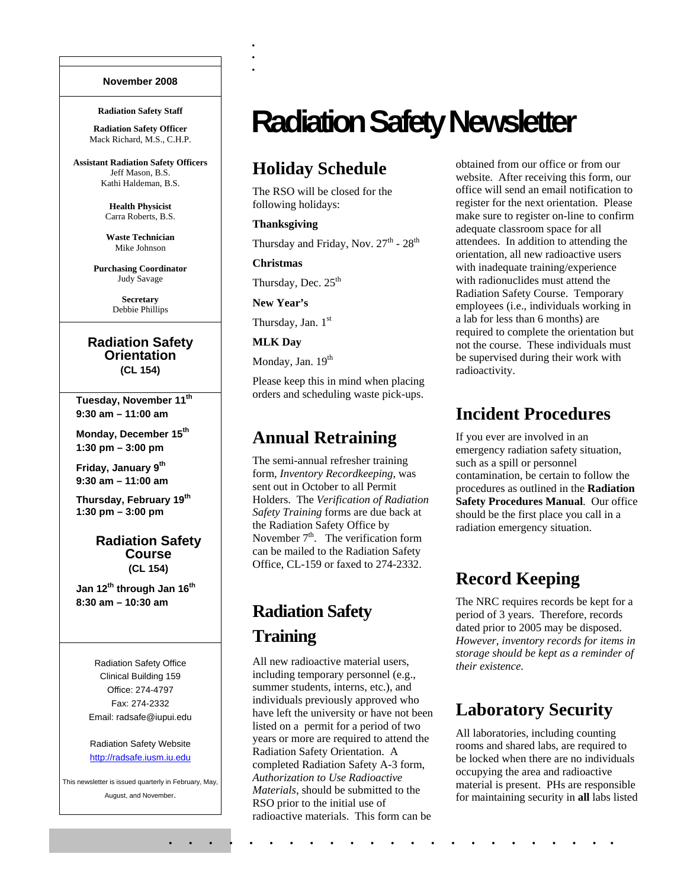#### **November 2008**

#### **Radiation Safety Staff**

**Radiation Safety Officer**  Mack Richard, M.S., C.H.P.

**Assistant Radiation Safety Officers**  Jeff Mason, B.S. Kathi Haldeman, B.S.

> **Health Physicist**  Carra Roberts, B.S.

**Waste Technician**  Mike Johnson

**Purchasing Coordinator**  Judy Savage

> **Secretary**  Debbie Phillips

#### **Radiation Safety Orientation (CL 154)**

Tuesday, November 11<sup>th</sup> **9:30 am – 11:00 am** 

**Monday, December 15th 1:30 pm – 3:00 pm** 

Friday, January 9<sup>th</sup> **9:30 am – 11:00 am** 

**Thursday, February 19th 1:30 pm – 3:00 pm** 

#### **Radiation Safety Course (CL 154)**

**Jan 12th through Jan 16th 8:30 am – 10:30 am**

> Radiation Safety Office Clinical Building 159 Office: 274-4797 Fax: 274-2332 Email: radsafe@iupui.edu

#### Radiation Safety Website http://radsafe.iusm.iu.edu

This newsletter is issued quarterly in February, May, August, and November.

# **Radiation Safety Newsletter**

### **Holiday Schedule**

The RSO will be closed for the following holidays:

#### **Thanksgiving**

Thursday and Friday, Nov.  $27^{\text{th}}$  -  $28^{\text{th}}$ 

#### **Christmas**

. :<br>. :<br>.

Thursday, Dec. 25<sup>th</sup>

#### **New Year's**

Thursday, Jan. 1st

#### **MLK Day**

Monday, Jan. 19<sup>th</sup>

Please keep this in mind when placing orders and scheduling waste pick-ups.

### **Annual Retraining**

The semi-annual refresher training form, *Inventory Recordkeeping*, was sent out in October to all Permit Holders. The *Verification of Radiation Safety Training* forms are due back at the Radiation Safety Office by November  $7<sup>th</sup>$ . The verification form can be mailed to the Radiation Safety Office, CL-159 or faxed to 274-2332.

# **Radiation Safety Training**

All new radioactive material users, including temporary personnel (e.g., summer students, interns, etc.), and individuals previously approved who have left the university or have not been listed on a permit for a period of two years or more are required to attend the Radiation Safety Orientation. A completed Radiation Safety A-3 form, *Authorization to Use Radioactive Materials*, should be submitted to the RSO prior to the initial use of radioactive materials. This form can be

obtained from our office or from our website. After receiving this form, our office will send an email notification to register for the next orientation. Please make sure to register on-line to confirm adequate classroom space for all attendees. In addition to attending the orientation, all new radioactive users with inadequate training/experience with radionuclides must attend the Radiation Safety Course. Temporary employees (i.e., individuals working in a lab for less than 6 months) are required to complete the orientation but not the course. These individuals must be supervised during their work with radioactivity.

### **Incident Procedures**

If you ever are involved in an emergency radiation safety situation, such as a spill or personnel contamination, be certain to follow the procedures as outlined in the **Radiation Safety Procedures Manual**. Our office should be the first place you call in a radiation emergency situation.

### **Record Keeping**

The NRC requires records be kept for a period of 3 years. Therefore, records dated prior to 2005 may be disposed. *However, inventory records for items in storage should be kept as a reminder of their existence.* 

### **Laboratory Security**

All laboratories, including counting rooms and shared labs, are required to be locked when there are no individuals occupying the area and radioactive material is present. PHs are responsible for maintaining security in **all** labs listed

. . . . . . . . . . . . . . . . . . . . . . .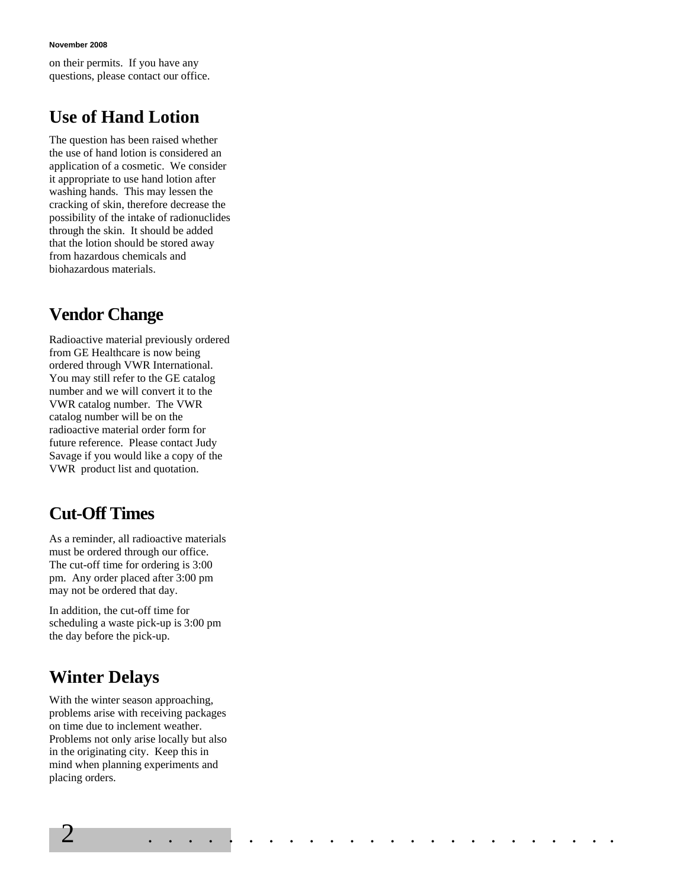**November 2008** 

on their permits. If you have any questions, please contact our office.

# **Use of Hand Lotion**

The question has been raised whether the use of hand lotion is considered an application of a cosmetic. We consider it appropriate to use hand lotion after washing hands. This may lessen the cracking of skin, therefore decrease the possibility of the intake of radionuclides through the skin. It should be added that the lotion should be stored away from hazardous chemicals and biohazardous materials.

# **Vendor Change**

Radioactive material previously ordered from GE Healthcare is now being ordered through VWR International. You may still refer to the GE catalog number and we will convert it to the VWR catalog number. The VWR catalog number will be on the radioactive material order form for future reference. Please contact Judy Savage if you would like a copy of the VWR product list and quotation.

# **Cut-Off Times**

As a reminder, all radioactive materials must be ordered through our office. The cut-off time for ordering is 3:00 pm. Any order placed after 3:00 pm may not be ordered that day.

In addition, the cut-off time for scheduling a waste pick-up is 3:00 pm the day before the pick-up.

# **Winter Delays**

With the winter season approaching, problems arise with receiving packages on time due to inclement weather. Problems not only arise locally but also in the originating city. Keep this in mind when planning experiments and placing orders.